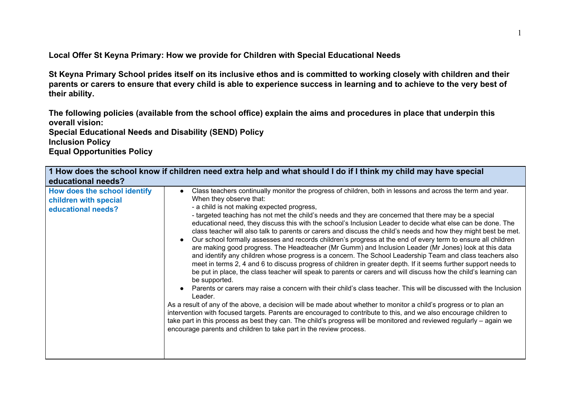**Local Offer St Keyna Primary: How we provide for Children with Special Educational Needs**

**St Keyna Primary School prides itself on its inclusive ethos and is committed to working closely with children and their parents or carers to ensure that every child is able to experience success in learning and to achieve to the very best of their ability.**

**The following policies (available from the school office) explain the aims and procedures in place that underpin this overall vision:**

**Special Educational Needs and Disability (SEND) Policy**

**Inclusion Policy**

**Equal Opportunities Policy**

| 1 How does the school know if children need extra help and what should I do if I think my child may have special<br>educational needs? |                                                                                                                                                                                                                                                                                                                                                                                                                                                                                                                                                                                                                                                                                                                                                                                                                                                                                                                                                                                                                                                                                                                                                                                                                                                                                                                                                                                                                                                                                                                                                                                                                                                                                                       |
|----------------------------------------------------------------------------------------------------------------------------------------|-------------------------------------------------------------------------------------------------------------------------------------------------------------------------------------------------------------------------------------------------------------------------------------------------------------------------------------------------------------------------------------------------------------------------------------------------------------------------------------------------------------------------------------------------------------------------------------------------------------------------------------------------------------------------------------------------------------------------------------------------------------------------------------------------------------------------------------------------------------------------------------------------------------------------------------------------------------------------------------------------------------------------------------------------------------------------------------------------------------------------------------------------------------------------------------------------------------------------------------------------------------------------------------------------------------------------------------------------------------------------------------------------------------------------------------------------------------------------------------------------------------------------------------------------------------------------------------------------------------------------------------------------------------------------------------------------------|
| How does the school identify<br>children with special<br>educational needs?                                                            | Class teachers continually monitor the progress of children, both in lessons and across the term and year.<br>When they observe that:<br>- a child is not making expected progress,<br>- targeted teaching has not met the child's needs and they are concerned that there may be a special<br>educational need, they discuss this with the school's Inclusion Leader to decide what else can be done. The<br>class teacher will also talk to parents or carers and discuss the child's needs and how they might best be met.<br>Our school formally assesses and records children's progress at the end of every term to ensure all children<br>are making good progress. The Headteacher (Mr Gumm) and Inclusion Leader (Mr Jones) look at this data<br>and identify any children whose progress is a concern. The School Leadership Team and class teachers also<br>meet in terms 2, 4 and 6 to discuss progress of children in greater depth. If it seems further support needs to<br>be put in place, the class teacher will speak to parents or carers and will discuss how the child's learning can<br>be supported.<br>Parents or carers may raise a concern with their child's class teacher. This will be discussed with the Inclusion<br>Leader.<br>As a result of any of the above, a decision will be made about whether to monitor a child's progress or to plan an<br>intervention with focused targets. Parents are encouraged to contribute to this, and we also encourage children to<br>take part in this process as best they can. The child's progress will be monitored and reviewed regularly – again we<br>encourage parents and children to take part in the review process. |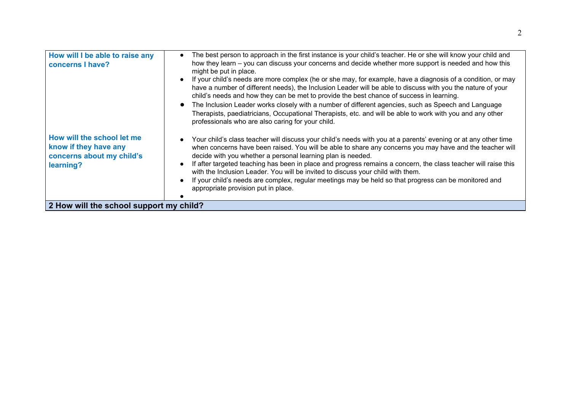| How will I be able to raise any<br>concerns I have?                                           | The best person to approach in the first instance is your child's teacher. He or she will know your child and<br>$\bullet$<br>how they learn – you can discuss your concerns and decide whether more support is needed and how this<br>might be put in place.<br>If your child's needs are more complex (he or she may, for example, have a diagnosis of a condition, or may<br>have a number of different needs), the Inclusion Leader will be able to discuss with you the nature of your<br>child's needs and how they can be met to provide the best chance of success in learning.<br>The Inclusion Leader works closely with a number of different agencies, such as Speech and Language<br>Therapists, paediatricians, Occupational Therapists, etc. and will be able to work with you and any other<br>professionals who are also caring for your child. |
|-----------------------------------------------------------------------------------------------|------------------------------------------------------------------------------------------------------------------------------------------------------------------------------------------------------------------------------------------------------------------------------------------------------------------------------------------------------------------------------------------------------------------------------------------------------------------------------------------------------------------------------------------------------------------------------------------------------------------------------------------------------------------------------------------------------------------------------------------------------------------------------------------------------------------------------------------------------------------|
| How will the school let me<br>know if they have any<br>concerns about my child's<br>learning? | Your child's class teacher will discuss your child's needs with you at a parents' evening or at any other time<br>$\bullet$<br>when concerns have been raised. You will be able to share any concerns you may have and the teacher will<br>decide with you whether a personal learning plan is needed.<br>If after targeted teaching has been in place and progress remains a concern, the class teacher will raise this<br>$\bullet$<br>with the Inclusion Leader. You will be invited to discuss your child with them.<br>If your child's needs are complex, regular meetings may be held so that progress can be monitored and<br>appropriate provision put in place.                                                                                                                                                                                         |
| 2 How will the school support my child?                                                       |                                                                                                                                                                                                                                                                                                                                                                                                                                                                                                                                                                                                                                                                                                                                                                                                                                                                  |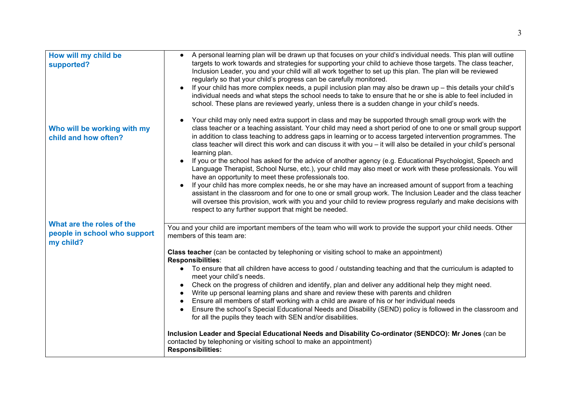| How will my child be<br>supported?                                     | A personal learning plan will be drawn up that focuses on your child's individual needs. This plan will outline<br>$\bullet$<br>targets to work towards and strategies for supporting your child to achieve those targets. The class teacher,<br>Inclusion Leader, you and your child will all work together to set up this plan. The plan will be reviewed<br>regularly so that your child's progress can be carefully monitored.<br>If your child has more complex needs, a pupil inclusion plan may also be drawn up - this details your child's<br>individual needs and what steps the school needs to take to ensure that he or she is able to feel included in<br>school. These plans are reviewed yearly, unless there is a sudden change in your child's needs. |
|------------------------------------------------------------------------|-------------------------------------------------------------------------------------------------------------------------------------------------------------------------------------------------------------------------------------------------------------------------------------------------------------------------------------------------------------------------------------------------------------------------------------------------------------------------------------------------------------------------------------------------------------------------------------------------------------------------------------------------------------------------------------------------------------------------------------------------------------------------|
| Who will be working with my<br>child and how often?                    | Your child may only need extra support in class and may be supported through small group work with the<br>class teacher or a teaching assistant. Your child may need a short period of one to one or small group support<br>in addition to class teaching to address gaps in learning or to access targeted intervention programmes. The<br>class teacher will direct this work and can discuss it with you - it will also be detailed in your child's personal<br>learning plan.                                                                                                                                                                                                                                                                                       |
|                                                                        | If you or the school has asked for the advice of another agency (e.g. Educational Psychologist, Speech and<br>Language Therapist, School Nurse, etc.), your child may also meet or work with these professionals. You will<br>have an opportunity to meet these professionals too.                                                                                                                                                                                                                                                                                                                                                                                                                                                                                      |
|                                                                        | If your child has more complex needs, he or she may have an increased amount of support from a teaching<br>assistant in the classroom and for one to one or small group work. The Inclusion Leader and the class teacher<br>will oversee this provision, work with you and your child to review progress regularly and make decisions with<br>respect to any further support that might be needed.                                                                                                                                                                                                                                                                                                                                                                      |
| What are the roles of the<br>people in school who support<br>my child? | You and your child are important members of the team who will work to provide the support your child needs. Other<br>members of this team are:                                                                                                                                                                                                                                                                                                                                                                                                                                                                                                                                                                                                                          |
|                                                                        | Class teacher (can be contacted by telephoning or visiting school to make an appointment)<br>Responsibilities:                                                                                                                                                                                                                                                                                                                                                                                                                                                                                                                                                                                                                                                          |
|                                                                        | • To ensure that all children have access to good / outstanding teaching and that the curriculum is adapted to<br>meet your child's needs.                                                                                                                                                                                                                                                                                                                                                                                                                                                                                                                                                                                                                              |
|                                                                        | Check on the progress of children and identify, plan and deliver any additional help they might need.<br>Write up personal learning plans and share and review these with parents and children                                                                                                                                                                                                                                                                                                                                                                                                                                                                                                                                                                          |
|                                                                        | Ensure all members of staff working with a child are aware of his or her individual needs<br>Ensure the school's Special Educational Needs and Disability (SEND) policy is followed in the classroom and<br>for all the pupils they teach with SEN and/or disabilities.                                                                                                                                                                                                                                                                                                                                                                                                                                                                                                 |
|                                                                        | Inclusion Leader and Special Educational Needs and Disability Co-ordinator (SENDCO): Mr Jones (can be<br>contacted by telephoning or visiting school to make an appointment)<br><b>Responsibilities:</b>                                                                                                                                                                                                                                                                                                                                                                                                                                                                                                                                                                |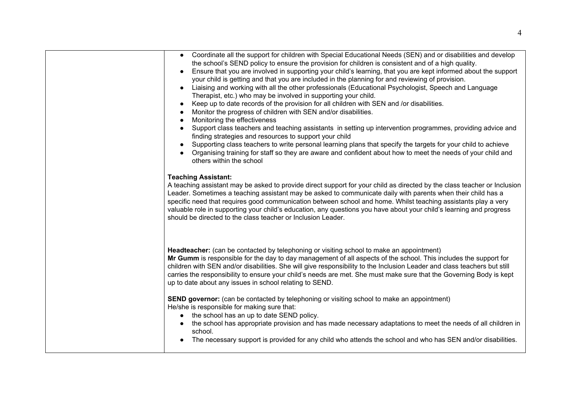| • Coordinate all the support for children with Special Educational Needs (SEN) and or disabilities and develop<br>the school's SEND policy to ensure the provision for children is consistent and of a high quality.<br>Ensure that you are involved in supporting your child's learning, that you are kept informed about the support<br>$\bullet$<br>your child is getting and that you are included in the planning for and reviewing of provision.<br>Liaising and working with all the other professionals (Educational Psychologist, Speech and Language<br>Therapist, etc.) who may be involved in supporting your child.<br>Keep up to date records of the provision for all children with SEN and /or disabilities.<br>$\bullet$<br>Monitor the progress of children with SEN and/or disabilities.<br>Monitoring the effectiveness<br>Support class teachers and teaching assistants in setting up intervention programmes, providing advice and<br>$\bullet$<br>finding strategies and resources to support your child<br>Supporting class teachers to write personal learning plans that specify the targets for your child to achieve<br>$\bullet$<br>Organising training for staff so they are aware and confident about how to meet the needs of your child and<br>others within the school |
|-----------------------------------------------------------------------------------------------------------------------------------------------------------------------------------------------------------------------------------------------------------------------------------------------------------------------------------------------------------------------------------------------------------------------------------------------------------------------------------------------------------------------------------------------------------------------------------------------------------------------------------------------------------------------------------------------------------------------------------------------------------------------------------------------------------------------------------------------------------------------------------------------------------------------------------------------------------------------------------------------------------------------------------------------------------------------------------------------------------------------------------------------------------------------------------------------------------------------------------------------------------------------------------------------------------|
| <b>Teaching Assistant:</b><br>A teaching assistant may be asked to provide direct support for your child as directed by the class teacher or Inclusion<br>Leader. Sometimes a teaching assistant may be asked to communicate daily with parents when their child has a<br>specific need that requires good communication between school and home. Whilst teaching assistants play a very<br>valuable role in supporting your child's education, any questions you have about your child's learning and progress<br>should be directed to the class teacher or Inclusion Leader.                                                                                                                                                                                                                                                                                                                                                                                                                                                                                                                                                                                                                                                                                                                           |
| Headteacher: (can be contacted by telephoning or visiting school to make an appointment)<br>Mr Gumm is responsible for the day to day management of all aspects of the school. This includes the support for<br>children with SEN and/or disabilities. She will give responsibility to the Inclusion Leader and class teachers but still<br>carries the responsibility to ensure your child's needs are met. She must make sure that the Governing Body is kept<br>up to date about any issues in school relating to SEND.                                                                                                                                                                                                                                                                                                                                                                                                                                                                                                                                                                                                                                                                                                                                                                                |
| <b>SEND governor:</b> (can be contacted by telephoning or visiting school to make an appointment)<br>He/she is responsible for making sure that:<br>• the school has an up to date SEND policy.<br>• the school has appropriate provision and has made necessary adaptations to meet the needs of all children in<br>school.<br>The necessary support is provided for any child who attends the school and who has SEN and/or disabilities.                                                                                                                                                                                                                                                                                                                                                                                                                                                                                                                                                                                                                                                                                                                                                                                                                                                               |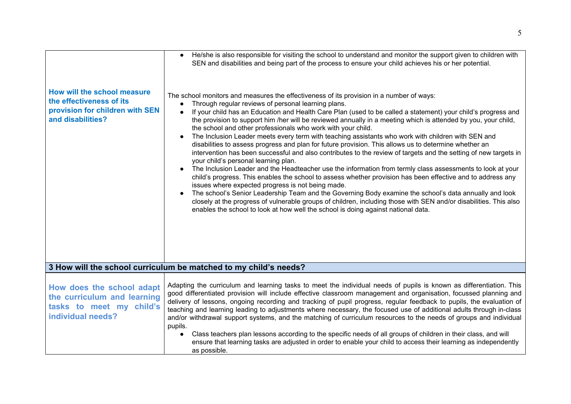| How will the school measure<br>the effectiveness of its<br>provision for children with SEN<br>and disabilities? | He/she is also responsible for visiting the school to understand and monitor the support given to children with<br>SEN and disabilities and being part of the process to ensure your child achieves his or her potential.<br>The school monitors and measures the effectiveness of its provision in a number of ways:<br>Through regular reviews of personal learning plans.<br>$\bullet$<br>If your child has an Education and Health Care Plan (used to be called a statement) your child's progress and<br>$\bullet$<br>the provision to support him /her will be reviewed annually in a meeting which is attended by you, your child,<br>the school and other professionals who work with your child.<br>The Inclusion Leader meets every term with teaching assistants who work with children with SEN and<br>disabilities to assess progress and plan for future provision. This allows us to determine whether an<br>intervention has been successful and also contributes to the review of targets and the setting of new targets in<br>your child's personal learning plan.<br>The Inclusion Leader and the Headteacher use the information from termly class assessments to look at your<br>child's progress. This enables the school to assess whether provision has been effective and to address any<br>issues where expected progress is not being made.<br>The school's Senior Leadership Team and the Governing Body examine the school's data annually and look<br>closely at the progress of vulnerable groups of children, including those with SEN and/or disabilities. This also<br>enables the school to look at how well the school is doing against national data. |
|-----------------------------------------------------------------------------------------------------------------|--------------------------------------------------------------------------------------------------------------------------------------------------------------------------------------------------------------------------------------------------------------------------------------------------------------------------------------------------------------------------------------------------------------------------------------------------------------------------------------------------------------------------------------------------------------------------------------------------------------------------------------------------------------------------------------------------------------------------------------------------------------------------------------------------------------------------------------------------------------------------------------------------------------------------------------------------------------------------------------------------------------------------------------------------------------------------------------------------------------------------------------------------------------------------------------------------------------------------------------------------------------------------------------------------------------------------------------------------------------------------------------------------------------------------------------------------------------------------------------------------------------------------------------------------------------------------------------------------------------------------------------------------------------------------------------------|
|                                                                                                                 | 3 How will the school curriculum be matched to my child's needs?                                                                                                                                                                                                                                                                                                                                                                                                                                                                                                                                                                                                                                                                                                                                                                                                                                                                                                                                                                                                                                                                                                                                                                                                                                                                                                                                                                                                                                                                                                                                                                                                                           |
| How does the school adapt<br>the curriculum and learning<br>tasks to meet my child's<br>individual needs?       | Adapting the curriculum and learning tasks to meet the individual needs of pupils is known as differentiation. This<br>good differentiated provision will include effective classroom management and organisation, focussed planning and<br>delivery of lessons, ongoing recording and tracking of pupil progress, regular feedback to pupils, the evaluation of<br>teaching and learning leading to adjustments where necessary, the focused use of additional adults through in-class<br>and/or withdrawal support systems, and the matching of curriculum resources to the needs of groups and individual<br>pupils.<br>Class teachers plan lessons according to the specific needs of all groups of children in their class, and will<br>$\bullet$<br>ensure that learning tasks are adjusted in order to enable your child to access their learning as independently<br>as possible.                                                                                                                                                                                                                                                                                                                                                                                                                                                                                                                                                                                                                                                                                                                                                                                                  |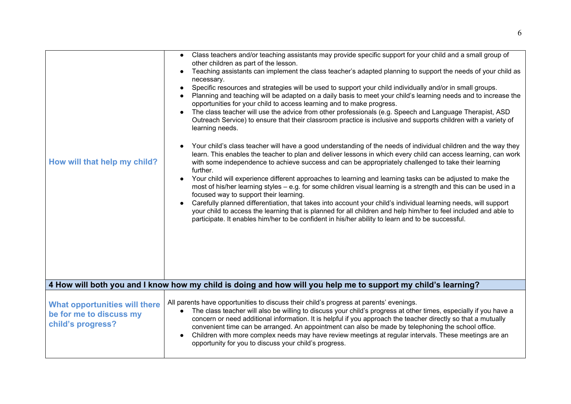| How will that help my child?                                                         | Class teachers and/or teaching assistants may provide specific support for your child and a small group of<br>other children as part of the lesson.<br>Teaching assistants can implement the class teacher's adapted planning to support the needs of your child as<br>necessary.<br>Specific resources and strategies will be used to support your child individually and/or in small groups.<br>Planning and teaching will be adapted on a daily basis to meet your child's learning needs and to increase the<br>opportunities for your child to access learning and to make progress.<br>The class teacher will use the advice from other professionals (e.g. Speech and Language Therapist, ASD<br>Outreach Service) to ensure that their classroom practice is inclusive and supports children with a variety of<br>learning needs.<br>Your child's class teacher will have a good understanding of the needs of individual children and the way they<br>learn. This enables the teacher to plan and deliver lessons in which every child can access learning, can work<br>with some independence to achieve success and can be appropriately challenged to take their learning<br>further.<br>Your child will experience different approaches to learning and learning tasks can be adjusted to make the<br>most of his/her learning styles – e.g. for some children visual learning is a strength and this can be used in a<br>focused way to support their learning.<br>Carefully planned differentiation, that takes into account your child's individual learning needs, will support<br>your child to access the learning that is planned for all children and help him/her to feel included and able to<br>participate. It enables him/her to be confident in his/her ability to learn and to be successful. |
|--------------------------------------------------------------------------------------|---------------------------------------------------------------------------------------------------------------------------------------------------------------------------------------------------------------------------------------------------------------------------------------------------------------------------------------------------------------------------------------------------------------------------------------------------------------------------------------------------------------------------------------------------------------------------------------------------------------------------------------------------------------------------------------------------------------------------------------------------------------------------------------------------------------------------------------------------------------------------------------------------------------------------------------------------------------------------------------------------------------------------------------------------------------------------------------------------------------------------------------------------------------------------------------------------------------------------------------------------------------------------------------------------------------------------------------------------------------------------------------------------------------------------------------------------------------------------------------------------------------------------------------------------------------------------------------------------------------------------------------------------------------------------------------------------------------------------------------------------------------------------------------------------------------------------|
|                                                                                      | 4 How will both you and I know how my child is doing and how will you help me to support my child's learning?                                                                                                                                                                                                                                                                                                                                                                                                                                                                                                                                                                                                                                                                                                                                                                                                                                                                                                                                                                                                                                                                                                                                                                                                                                                                                                                                                                                                                                                                                                                                                                                                                                                                                                             |
| <b>What opportunities will there</b><br>be for me to discuss my<br>child's progress? | All parents have opportunities to discuss their child's progress at parents' evenings.<br>The class teacher will also be willing to discuss your child's progress at other times, especially if you have a<br>concern or need additional information. It is helpful if you approach the teacher directly so that a mutually<br>convenient time can be arranged. An appointment can also be made by telephoning the school office.<br>Children with more complex needs may have review meetings at regular intervals. These meetings are an<br>opportunity for you to discuss your child's progress.                                                                                                                                                                                                                                                                                                                                                                                                                                                                                                                                                                                                                                                                                                                                                                                                                                                                                                                                                                                                                                                                                                                                                                                                                       |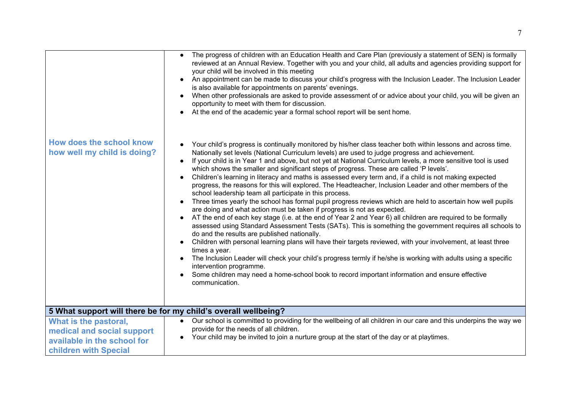|                                                         | The progress of children with an Education Health and Care Plan (previously a statement of SEN) is formally<br>$\bullet$<br>reviewed at an Annual Review. Together with you and your child, all adults and agencies providing support for<br>your child will be involved in this meeting<br>An appointment can be made to discuss your child's progress with the Inclusion Leader. The Inclusion Leader<br>$\bullet$<br>is also available for appointments on parents' evenings.<br>When other professionals are asked to provide assessment of or advice about your child, you will be given an<br>$\bullet$<br>opportunity to meet with them for discussion.<br>At the end of the academic year a formal school report will be sent home.<br>$\bullet$                                                                                                                                                                                                                                                                                                                                                                                                                                                                                                                                                                                                                                                                                                                                                                                                                                                                                                              |
|---------------------------------------------------------|-----------------------------------------------------------------------------------------------------------------------------------------------------------------------------------------------------------------------------------------------------------------------------------------------------------------------------------------------------------------------------------------------------------------------------------------------------------------------------------------------------------------------------------------------------------------------------------------------------------------------------------------------------------------------------------------------------------------------------------------------------------------------------------------------------------------------------------------------------------------------------------------------------------------------------------------------------------------------------------------------------------------------------------------------------------------------------------------------------------------------------------------------------------------------------------------------------------------------------------------------------------------------------------------------------------------------------------------------------------------------------------------------------------------------------------------------------------------------------------------------------------------------------------------------------------------------------------------------------------------------------------------------------------------------|
| How does the school know<br>how well my child is doing? | Your child's progress is continually monitored by his/her class teacher both within lessons and across time.<br>Nationally set levels (National Curriculum levels) are used to judge progress and achievement.<br>If your child is in Year 1 and above, but not yet at National Curriculum levels, a more sensitive tool is used<br>$\bullet$<br>which shows the smaller and significant steps of progress. These are called 'P levels'.<br>Children's learning in literacy and maths is assessed every term and, if a child is not making expected<br>$\bullet$<br>progress, the reasons for this will explored. The Headteacher, Inclusion Leader and other members of the<br>school leadership team all participate in this process.<br>Three times yearly the school has formal pupil progress reviews which are held to ascertain how well pupils<br>$\bullet$<br>are doing and what action must be taken if progress is not as expected.<br>AT the end of each key stage (i.e. at the end of Year 2 and Year 6) all children are required to be formally<br>$\bullet$<br>assessed using Standard Assessment Tests (SATs). This is something the government requires all schools to<br>do and the results are published nationally.<br>Children with personal learning plans will have their targets reviewed, with your involvement, at least three<br>$\bullet$<br>times a year.<br>The Inclusion Leader will check your child's progress termly if he/she is working with adults using a specific<br>$\bullet$<br>intervention programme.<br>Some children may need a home-school book to record important information and ensure effective<br>communication. |
|                                                         | 5 What support will there be for my child's overall wellbeing?                                                                                                                                                                                                                                                                                                                                                                                                                                                                                                                                                                                                                                                                                                                                                                                                                                                                                                                                                                                                                                                                                                                                                                                                                                                                                                                                                                                                                                                                                                                                                                                                        |
| What is the pastoral,                                   | Our school is committed to providing for the wellbeing of all children in our care and this underpins the way we                                                                                                                                                                                                                                                                                                                                                                                                                                                                                                                                                                                                                                                                                                                                                                                                                                                                                                                                                                                                                                                                                                                                                                                                                                                                                                                                                                                                                                                                                                                                                      |
| medical and social support                              | provide for the needs of all children.<br>Your child may be invited to join a nurture group at the start of the day or at playtimes.                                                                                                                                                                                                                                                                                                                                                                                                                                                                                                                                                                                                                                                                                                                                                                                                                                                                                                                                                                                                                                                                                                                                                                                                                                                                                                                                                                                                                                                                                                                                  |
| available in the school for                             |                                                                                                                                                                                                                                                                                                                                                                                                                                                                                                                                                                                                                                                                                                                                                                                                                                                                                                                                                                                                                                                                                                                                                                                                                                                                                                                                                                                                                                                                                                                                                                                                                                                                       |
| children with Special                                   |                                                                                                                                                                                                                                                                                                                                                                                                                                                                                                                                                                                                                                                                                                                                                                                                                                                                                                                                                                                                                                                                                                                                                                                                                                                                                                                                                                                                                                                                                                                                                                                                                                                                       |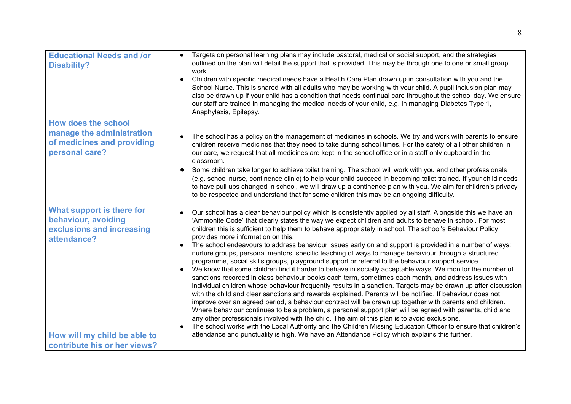| <b>Educational Needs and /or</b><br><b>Disability?</b>                                                  | Targets on personal learning plans may include pastoral, medical or social support, and the strategies<br>outlined on the plan will detail the support that is provided. This may be through one to one or small group<br>work.<br>Children with specific medical needs have a Health Care Plan drawn up in consultation with you and the<br>School Nurse. This is shared with all adults who may be working with your child. A pupil inclusion plan may<br>also be drawn up if your child has a condition that needs continual care throughout the school day. We ensure<br>our staff are trained in managing the medical needs of your child, e.g. in managing Diabetes Type 1,                                                                                                                                                                                                                                                                                                                                                                                                                                                                                                                                                                                                                                                                                                                                                                                                                                                                                                                   |
|---------------------------------------------------------------------------------------------------------|-----------------------------------------------------------------------------------------------------------------------------------------------------------------------------------------------------------------------------------------------------------------------------------------------------------------------------------------------------------------------------------------------------------------------------------------------------------------------------------------------------------------------------------------------------------------------------------------------------------------------------------------------------------------------------------------------------------------------------------------------------------------------------------------------------------------------------------------------------------------------------------------------------------------------------------------------------------------------------------------------------------------------------------------------------------------------------------------------------------------------------------------------------------------------------------------------------------------------------------------------------------------------------------------------------------------------------------------------------------------------------------------------------------------------------------------------------------------------------------------------------------------------------------------------------------------------------------------------------|
| <b>How does the school</b><br>manage the administration<br>of medicines and providing<br>personal care? | Anaphylaxis, Epilepsy.<br>The school has a policy on the management of medicines in schools. We try and work with parents to ensure<br>children receive medicines that they need to take during school times. For the safety of all other children in<br>our care, we request that all medicines are kept in the school office or in a staff only cupboard in the<br>classroom.                                                                                                                                                                                                                                                                                                                                                                                                                                                                                                                                                                                                                                                                                                                                                                                                                                                                                                                                                                                                                                                                                                                                                                                                                     |
|                                                                                                         | Some children take longer to achieve toilet training. The school will work with you and other professionals<br>(e.g. school nurse, continence clinic) to help your child succeed in becoming toilet trained. If your child needs<br>to have pull ups changed in school, we will draw up a continence plan with you. We aim for children's privacy<br>to be respected and understand that for some children this may be an ongoing difficulty.                                                                                                                                                                                                                                                                                                                                                                                                                                                                                                                                                                                                                                                                                                                                                                                                                                                                                                                                                                                                                                                                                                                                                       |
| What support is there for<br>behaviour, avoiding<br>exclusions and increasing<br>attendance?            | Our school has a clear behaviour policy which is consistently applied by all staff. Alongside this we have an<br>'Ammonite Code' that clearly states the way we expect children and adults to behave in school. For most<br>children this is sufficient to help them to behave appropriately in school. The school's Behaviour Policy<br>provides more information on this.<br>The school endeavours to address behaviour issues early on and support is provided in a number of ways:<br>nurture groups, personal mentors, specific teaching of ways to manage behaviour through a structured<br>programme, social skills groups, playground support or referral to the behaviour support service.<br>We know that some children find it harder to behave in socially acceptable ways. We monitor the number of<br>sanctions recorded in class behaviour books each term, sometimes each month, and address issues with<br>individual children whose behaviour frequently results in a sanction. Targets may be drawn up after discussion<br>with the child and clear sanctions and rewards explained. Parents will be notified. If behaviour does not<br>improve over an agreed period, a behaviour contract will be drawn up together with parents and children.<br>Where behaviour continues to be a problem, a personal support plan will be agreed with parents, child and<br>any other professionals involved with the child. The aim of this plan is to avoid exclusions.<br>The school works with the Local Authority and the Children Missing Education Officer to ensure that children's |
| How will my child be able to<br>contribute his or her views?                                            | attendance and punctuality is high. We have an Attendance Policy which explains this further.                                                                                                                                                                                                                                                                                                                                                                                                                                                                                                                                                                                                                                                                                                                                                                                                                                                                                                                                                                                                                                                                                                                                                                                                                                                                                                                                                                                                                                                                                                       |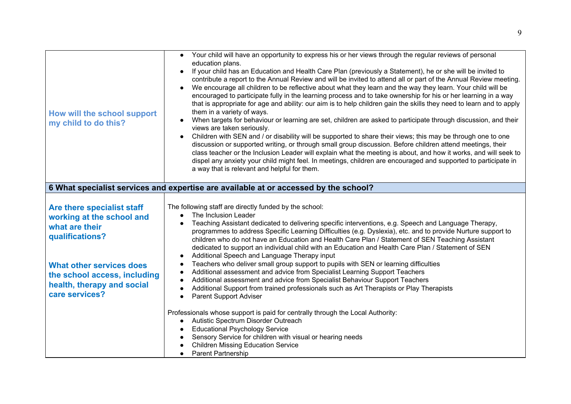| How will the school support<br>my child to do this?                                                             | • Your child will have an opportunity to express his or her views through the regular reviews of personal<br>education plans.<br>If your child has an Education and Health Care Plan (previously a Statement), he or she will be invited to<br>$\bullet$<br>contribute a report to the Annual Review and will be invited to attend all or part of the Annual Review meeting.<br>We encourage all children to be reflective about what they learn and the way they learn. Your child will be<br>encouraged to participate fully in the learning process and to take ownership for his or her learning in a way<br>that is appropriate for age and ability: our aim is to help children gain the skills they need to learn and to apply<br>them in a variety of ways.<br>When targets for behaviour or learning are set, children are asked to participate through discussion, and their<br>views are taken seriously.<br>Children with SEN and / or disability will be supported to share their views; this may be through one to one<br>discussion or supported writing, or through small group discussion. Before children attend meetings, their<br>class teacher or the Inclusion Leader will explain what the meeting is about, and how it works, and will seek to<br>dispel any anxiety your child might feel. In meetings, children are encouraged and supported to participate in<br>a way that is relevant and helpful for them. |
|-----------------------------------------------------------------------------------------------------------------|------------------------------------------------------------------------------------------------------------------------------------------------------------------------------------------------------------------------------------------------------------------------------------------------------------------------------------------------------------------------------------------------------------------------------------------------------------------------------------------------------------------------------------------------------------------------------------------------------------------------------------------------------------------------------------------------------------------------------------------------------------------------------------------------------------------------------------------------------------------------------------------------------------------------------------------------------------------------------------------------------------------------------------------------------------------------------------------------------------------------------------------------------------------------------------------------------------------------------------------------------------------------------------------------------------------------------------------------------------------------------------------------------------------------------------------|
|                                                                                                                 | 6 What specialist services and expertise are available at or accessed by the school?                                                                                                                                                                                                                                                                                                                                                                                                                                                                                                                                                                                                                                                                                                                                                                                                                                                                                                                                                                                                                                                                                                                                                                                                                                                                                                                                                     |
| Are there specialist staff<br>working at the school and<br>what are their<br>qualifications?                    | The following staff are directly funded by the school:<br>The Inclusion Leader<br>$\bullet$<br>Teaching Assistant dedicated to delivering specific interventions, e.g. Speech and Language Therapy,<br>programmes to address Specific Learning Difficulties (e.g. Dyslexia), etc. and to provide Nurture support to<br>children who do not have an Education and Health Care Plan / Statement of SEN Teaching Assistant<br>dedicated to support an individual child with an Education and Health Care Plan / Statement of SEN                                                                                                                                                                                                                                                                                                                                                                                                                                                                                                                                                                                                                                                                                                                                                                                                                                                                                                            |
| <b>What other services does</b><br>the school access, including<br>health, therapy and social<br>care services? | Additional Speech and Language Therapy input<br>$\bullet$<br>Teachers who deliver small group support to pupils with SEN or learning difficulties<br>$\bullet$<br>Additional assessment and advice from Specialist Learning Support Teachers<br>$\bullet$<br>Additional assessment and advice from Specialist Behaviour Support Teachers<br>Additional Support from trained professionals such as Art Therapists or Play Therapists<br>Parent Support Adviser                                                                                                                                                                                                                                                                                                                                                                                                                                                                                                                                                                                                                                                                                                                                                                                                                                                                                                                                                                            |
|                                                                                                                 | Professionals whose support is paid for centrally through the Local Authority:<br>Autistic Spectrum Disorder Outreach<br><b>Educational Psychology Service</b><br>Sensory Service for children with visual or hearing needs<br><b>Children Missing Education Service</b><br>Parent Partnership                                                                                                                                                                                                                                                                                                                                                                                                                                                                                                                                                                                                                                                                                                                                                                                                                                                                                                                                                                                                                                                                                                                                           |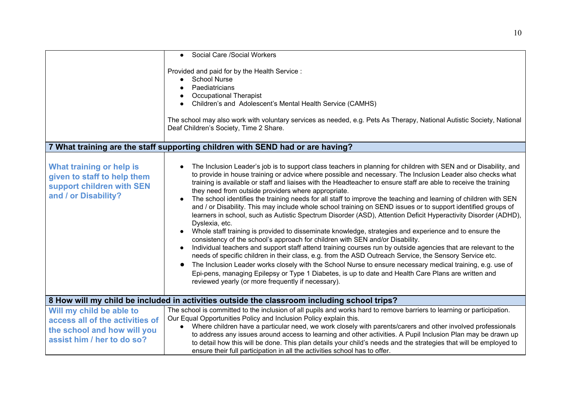|                                                                                                                          | • Social Care / Social Workers                                                                                                                                                                                                                                                                                                                                                                                                                                                                                                                                                                                                                                                                                                                                                                                                                                                                                                                                                                                                                                                                                                                                                                                                                                                                                                                                                                                                                                                        |
|--------------------------------------------------------------------------------------------------------------------------|---------------------------------------------------------------------------------------------------------------------------------------------------------------------------------------------------------------------------------------------------------------------------------------------------------------------------------------------------------------------------------------------------------------------------------------------------------------------------------------------------------------------------------------------------------------------------------------------------------------------------------------------------------------------------------------------------------------------------------------------------------------------------------------------------------------------------------------------------------------------------------------------------------------------------------------------------------------------------------------------------------------------------------------------------------------------------------------------------------------------------------------------------------------------------------------------------------------------------------------------------------------------------------------------------------------------------------------------------------------------------------------------------------------------------------------------------------------------------------------|
|                                                                                                                          | Provided and paid for by the Health Service:<br><b>School Nurse</b><br>Paediatricians<br><b>Occupational Therapist</b><br>Children's and Adolescent's Mental Health Service (CAMHS)<br>The school may also work with voluntary services as needed, e.g. Pets As Therapy, National Autistic Society, National<br>Deaf Children's Society, Time 2 Share.                                                                                                                                                                                                                                                                                                                                                                                                                                                                                                                                                                                                                                                                                                                                                                                                                                                                                                                                                                                                                                                                                                                                |
|                                                                                                                          | 7 What training are the staff supporting children with SEND had or are having?                                                                                                                                                                                                                                                                                                                                                                                                                                                                                                                                                                                                                                                                                                                                                                                                                                                                                                                                                                                                                                                                                                                                                                                                                                                                                                                                                                                                        |
| What training or help is<br>given to staff to help them<br>support children with SEN<br>and / or Disability?             | The Inclusion Leader's job is to support class teachers in planning for children with SEN and or Disability, and<br>to provide in house training or advice where possible and necessary. The Inclusion Leader also checks what<br>training is available or staff and liaises with the Headteacher to ensure staff are able to receive the training<br>they need from outside providers where appropriate.<br>The school identifies the training needs for all staff to improve the teaching and learning of children with SEN<br>and / or Disability. This may include whole school training on SEND issues or to support identified groups of<br>learners in school, such as Autistic Spectrum Disorder (ASD), Attention Deficit Hyperactivity Disorder (ADHD),<br>Dyslexia, etc.<br>Whole staff training is provided to disseminate knowledge, strategies and experience and to ensure the<br>consistency of the school's approach for children with SEN and/or Disability.<br>Individual teachers and support staff attend training courses run by outside agencies that are relevant to the<br>needs of specific children in their class, e.g. from the ASD Outreach Service, the Sensory Service etc.<br>The Inclusion Leader works closely with the School Nurse to ensure necessary medical training, e.g. use of<br>Epi-pens, managing Epilepsy or Type 1 Diabetes, is up to date and Health Care Plans are written and<br>reviewed yearly (or more frequently if necessary). |
|                                                                                                                          | 8 How will my child be included in activities outside the classroom including school trips?                                                                                                                                                                                                                                                                                                                                                                                                                                                                                                                                                                                                                                                                                                                                                                                                                                                                                                                                                                                                                                                                                                                                                                                                                                                                                                                                                                                           |
| Will my child be able to<br>access all of the activities of<br>the school and how will you<br>assist him / her to do so? | The school is committed to the inclusion of all pupils and works hard to remove barriers to learning or participation.<br>Our Equal Opportunities Policy and Inclusion Policy explain this.<br>Where children have a particular need, we work closely with parents/carers and other involved professionals<br>to address any issues around access to learning and other activities. A Pupil Inclusion Plan may be drawn up<br>to detail how this will be done. This plan details your child's needs and the strategies that will be employed to<br>ensure their full participation in all the activities school has to offer.                                                                                                                                                                                                                                                                                                                                                                                                                                                                                                                                                                                                                                                                                                                                                                                                                                                         |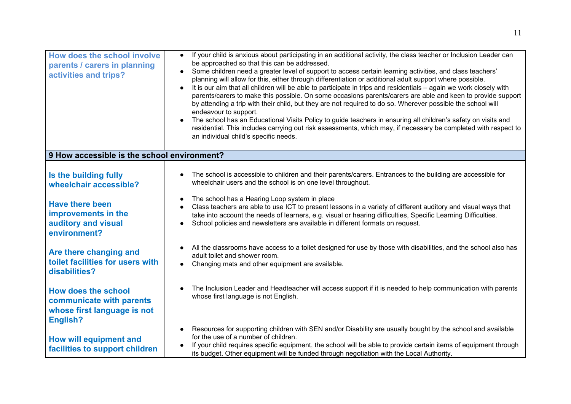| How does the school involve<br>parents / carers in planning<br>activities and trips?              | If your child is anxious about participating in an additional activity, the class teacher or Inclusion Leader can<br>$\bullet$<br>be approached so that this can be addressed.<br>Some children need a greater level of support to access certain learning activities, and class teachers'<br>planning will allow for this, either through differentiation or additional adult support where possible.<br>It is our aim that all children will be able to participate in trips and residentials – again we work closely with<br>$\bullet$<br>parents/carers to make this possible. On some occasions parents/carers are able and keen to provide support<br>by attending a trip with their child, but they are not required to do so. Wherever possible the school will<br>endeavour to support.<br>The school has an Educational Visits Policy to guide teachers in ensuring all children's safety on visits and<br>residential. This includes carrying out risk assessments, which may, if necessary be completed with respect to<br>an individual child's specific needs. |
|---------------------------------------------------------------------------------------------------|------------------------------------------------------------------------------------------------------------------------------------------------------------------------------------------------------------------------------------------------------------------------------------------------------------------------------------------------------------------------------------------------------------------------------------------------------------------------------------------------------------------------------------------------------------------------------------------------------------------------------------------------------------------------------------------------------------------------------------------------------------------------------------------------------------------------------------------------------------------------------------------------------------------------------------------------------------------------------------------------------------------------------------------------------------------------------|
| 9 How accessible is the school environment?                                                       |                                                                                                                                                                                                                                                                                                                                                                                                                                                                                                                                                                                                                                                                                                                                                                                                                                                                                                                                                                                                                                                                              |
| Is the building fully<br>wheelchair accessible?                                                   | The school is accessible to children and their parents/carers. Entrances to the building are accessible for<br>wheelchair users and the school is on one level throughout.                                                                                                                                                                                                                                                                                                                                                                                                                                                                                                                                                                                                                                                                                                                                                                                                                                                                                                   |
| <b>Have there been</b><br>improvements in the<br>auditory and visual<br>environment?              | The school has a Hearing Loop system in place<br>$\bullet$<br>Class teachers are able to use ICT to present lessons in a variety of different auditory and visual ways that<br>take into account the needs of learners, e.g. visual or hearing difficulties, Specific Learning Difficulties.<br>School policies and newsletters are available in different formats on request.                                                                                                                                                                                                                                                                                                                                                                                                                                                                                                                                                                                                                                                                                               |
| Are there changing and<br>toilet facilities for users with<br>disabilities?                       | All the classrooms have access to a toilet designed for use by those with disabilities, and the school also has<br>adult toilet and shower room.<br>Changing mats and other equipment are available.                                                                                                                                                                                                                                                                                                                                                                                                                                                                                                                                                                                                                                                                                                                                                                                                                                                                         |
| <b>How does the school</b><br>communicate with parents<br>whose first language is not<br>English? | The Inclusion Leader and Headteacher will access support if it is needed to help communication with parents<br>whose first language is not English.                                                                                                                                                                                                                                                                                                                                                                                                                                                                                                                                                                                                                                                                                                                                                                                                                                                                                                                          |
| <b>How will equipment and</b><br>facilities to support children                                   | Resources for supporting children with SEN and/or Disability are usually bought by the school and available<br>$\bullet$<br>for the use of a number of children.<br>If your child requires specific equipment, the school will be able to provide certain items of equipment through<br>its budget. Other equipment will be funded through negotiation with the Local Authority.                                                                                                                                                                                                                                                                                                                                                                                                                                                                                                                                                                                                                                                                                             |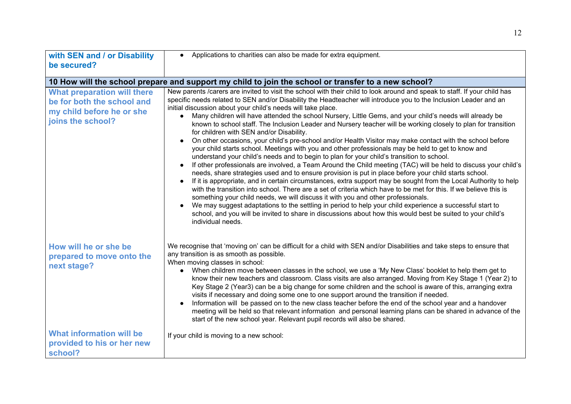| with SEN and / or Disability                                                                                       | • Applications to charities can also be made for extra equipment.                                                                                                                                                                                                                                                                                                                                                                                                                                                                                                                                                                                                                                                                                                                                                                                                                                                                                                                                                                                                                                                                                                                                                                                                                                                                                                                                                                                                                                                                                                                                                                                                                                                 |
|--------------------------------------------------------------------------------------------------------------------|-------------------------------------------------------------------------------------------------------------------------------------------------------------------------------------------------------------------------------------------------------------------------------------------------------------------------------------------------------------------------------------------------------------------------------------------------------------------------------------------------------------------------------------------------------------------------------------------------------------------------------------------------------------------------------------------------------------------------------------------------------------------------------------------------------------------------------------------------------------------------------------------------------------------------------------------------------------------------------------------------------------------------------------------------------------------------------------------------------------------------------------------------------------------------------------------------------------------------------------------------------------------------------------------------------------------------------------------------------------------------------------------------------------------------------------------------------------------------------------------------------------------------------------------------------------------------------------------------------------------------------------------------------------------------------------------------------------------|
| be secured?                                                                                                        |                                                                                                                                                                                                                                                                                                                                                                                                                                                                                                                                                                                                                                                                                                                                                                                                                                                                                                                                                                                                                                                                                                                                                                                                                                                                                                                                                                                                                                                                                                                                                                                                                                                                                                                   |
|                                                                                                                    | 10 How will the school prepare and support my child to join the school or transfer to a new school?                                                                                                                                                                                                                                                                                                                                                                                                                                                                                                                                                                                                                                                                                                                                                                                                                                                                                                                                                                                                                                                                                                                                                                                                                                                                                                                                                                                                                                                                                                                                                                                                               |
| <b>What preparation will there</b><br>be for both the school and<br>my child before he or she<br>joins the school? | New parents /carers are invited to visit the school with their child to look around and speak to staff. If your child has<br>specific needs related to SEN and/or Disability the Headteacher will introduce you to the Inclusion Leader and an<br>initial discussion about your child's needs will take place.<br>Many children will have attended the school Nursery, Little Gems, and your child's needs will already be<br>known to school staff. The Inclusion Leader and Nursery teacher will be working closely to plan for transition<br>for children with SEN and/or Disability.<br>On other occasions, your child's pre-school and/or Health Visitor may make contact with the school before<br>your child starts school. Meetings with you and other professionals may be held to get to know and<br>understand your child's needs and to begin to plan for your child's transition to school.<br>If other professionals are involved, a Team Around the Child meeting (TAC) will be held to discuss your child's<br>needs, share strategies used and to ensure provision is put in place before your child starts school.<br>If it is appropriate, and in certain circumstances, extra support may be sought from the Local Authority to help<br>with the transition into school. There are a set of criteria which have to be met for this. If we believe this is<br>something your child needs, we will discuss it with you and other professionals.<br>We may suggest adaptations to the settling in period to help your child experience a successful start to<br>school, and you will be invited to share in discussions about how this would best be suited to your child's<br>individual needs. |
| How will he or she be<br>prepared to move onto the<br>next stage?                                                  | We recognise that 'moving on' can be difficult for a child with SEN and/or Disabilities and take steps to ensure that<br>any transition is as smooth as possible.<br>When moving classes in school:<br>When children move between classes in the school, we use a 'My New Class' booklet to help them get to<br>$\bullet$<br>know their new teachers and classroom. Class visits are also arranged. Moving from Key Stage 1 (Year 2) to<br>Key Stage 2 (Year3) can be a big change for some children and the school is aware of this, arranging extra<br>visits if necessary and doing some one to one support around the transition if needed.<br>Information will be passed on to the new class teacher before the end of the school year and a handover<br>meeting will be held so that relevant information and personal learning plans can be shared in advance of the<br>start of the new school year. Relevant pupil records will also be shared.                                                                                                                                                                                                                                                                                                                                                                                                                                                                                                                                                                                                                                                                                                                                                          |
| What information will be<br>provided to his or her new<br>school?                                                  | If your child is moving to a new school:                                                                                                                                                                                                                                                                                                                                                                                                                                                                                                                                                                                                                                                                                                                                                                                                                                                                                                                                                                                                                                                                                                                                                                                                                                                                                                                                                                                                                                                                                                                                                                                                                                                                          |

12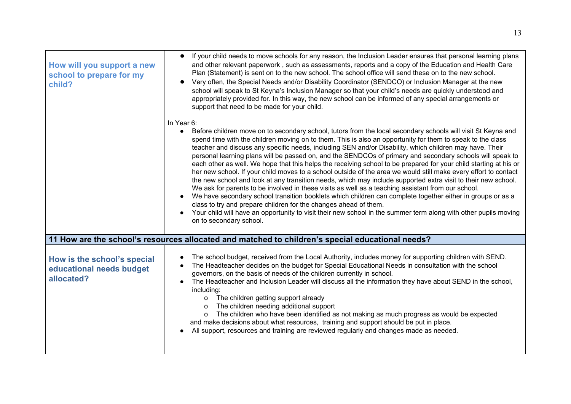| How will you support a new<br>school to prepare for my<br>child?      | If your child needs to move schools for any reason, the Inclusion Leader ensures that personal learning plans<br>and other relevant paperwork, such as assessments, reports and a copy of the Education and Health Care<br>Plan (Statement) is sent on to the new school. The school office will send these on to the new school.<br>Very often, the Special Needs and/or Disability Coordinator (SENDCO) or Inclusion Manager at the new<br>school will speak to St Keyna's Inclusion Manager so that your child's needs are quickly understood and<br>appropriately provided for. In this way, the new school can be informed of any special arrangements or<br>support that need to be made for your child.                                                                                                                                                                                                                                                                                                                                                                                                                                                                                                                                                  |
|-----------------------------------------------------------------------|-----------------------------------------------------------------------------------------------------------------------------------------------------------------------------------------------------------------------------------------------------------------------------------------------------------------------------------------------------------------------------------------------------------------------------------------------------------------------------------------------------------------------------------------------------------------------------------------------------------------------------------------------------------------------------------------------------------------------------------------------------------------------------------------------------------------------------------------------------------------------------------------------------------------------------------------------------------------------------------------------------------------------------------------------------------------------------------------------------------------------------------------------------------------------------------------------------------------------------------------------------------------|
|                                                                       | In Year 6:<br>Before children move on to secondary school, tutors from the local secondary schools will visit St Keyna and<br>spend time with the children moving on to them. This is also an opportunity for them to speak to the class<br>teacher and discuss any specific needs, including SEN and/or Disability, which children may have. Their<br>personal learning plans will be passed on, and the SENDCOs of primary and secondary schools will speak to<br>each other as well. We hope that this helps the receiving school to be prepared for your child starting at his or<br>her new school. If your child moves to a school outside of the area we would still make every effort to contact<br>the new school and look at any transition needs, which may include supported extra visit to their new school.<br>We ask for parents to be involved in these visits as well as a teaching assistant from our school.<br>We have secondary school transition booklets which children can complete together either in groups or as a<br>class to try and prepare children for the changes ahead of them.<br>Your child will have an opportunity to visit their new school in the summer term along with other pupils moving<br>on to secondary school. |
|                                                                       | 11 How are the school's resources allocated and matched to children's special educational needs?                                                                                                                                                                                                                                                                                                                                                                                                                                                                                                                                                                                                                                                                                                                                                                                                                                                                                                                                                                                                                                                                                                                                                                |
| How is the school's special<br>educational needs budget<br>allocated? | The school budget, received from the Local Authority, includes money for supporting children with SEND.<br>The Headteacher decides on the budget for Special Educational Needs in consultation with the school<br>governors, on the basis of needs of the children currently in school.<br>The Headteacher and Inclusion Leader will discuss all the information they have about SEND in the school,<br>including:<br>The children getting support already<br>$\Omega$<br>The children needing additional support<br>$\circ$<br>The children who have been identified as not making as much progress as would be expected<br>$\Omega$<br>and make decisions about what resources, training and support should be put in place.<br>All support, resources and training are reviewed regularly and changes made as needed.                                                                                                                                                                                                                                                                                                                                                                                                                                        |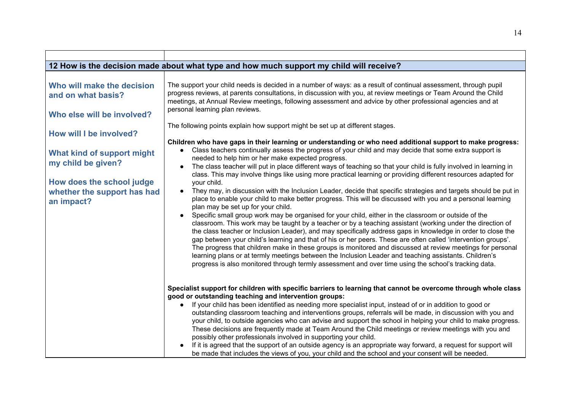|                                                  | 12 How is the decision made about what type and how much support my child will receive?                                                                                                                                                                                                                                                                                                                                                                                                                                                                                                                                                                                                 |
|--------------------------------------------------|-----------------------------------------------------------------------------------------------------------------------------------------------------------------------------------------------------------------------------------------------------------------------------------------------------------------------------------------------------------------------------------------------------------------------------------------------------------------------------------------------------------------------------------------------------------------------------------------------------------------------------------------------------------------------------------------|
| Who will make the decision<br>and on what basis? | The support your child needs is decided in a number of ways: as a result of continual assessment, through pupil<br>progress reviews, at parents consultations, in discussion with you, at review meetings or Team Around the Child                                                                                                                                                                                                                                                                                                                                                                                                                                                      |
| Who else will be involved?                       | meetings, at Annual Review meetings, following assessment and advice by other professional agencies and at<br>personal learning plan reviews.                                                                                                                                                                                                                                                                                                                                                                                                                                                                                                                                           |
| How will I be involved?                          | The following points explain how support might be set up at different stages.<br>Children who have gaps in their learning or understanding or who need additional support to make progress:                                                                                                                                                                                                                                                                                                                                                                                                                                                                                             |
| What kind of support might<br>my child be given? | Class teachers continually assess the progress of your child and may decide that some extra support is<br>needed to help him or her make expected progress.                                                                                                                                                                                                                                                                                                                                                                                                                                                                                                                             |
| How does the school judge                        | The class teacher will put in place different ways of teaching so that your child is fully involved in learning in<br>class. This may involve things like using more practical learning or providing different resources adapted for<br>your child.                                                                                                                                                                                                                                                                                                                                                                                                                                     |
| whether the support has had<br>an impact?        | They may, in discussion with the Inclusion Leader, decide that specific strategies and targets should be put in<br>$\bullet$<br>place to enable your child to make better progress. This will be discussed with you and a personal learning<br>plan may be set up for your child.                                                                                                                                                                                                                                                                                                                                                                                                       |
|                                                  | Specific small group work may be organised for your child, either in the classroom or outside of the<br>$\bullet$<br>classroom. This work may be taught by a teacher or by a teaching assistant (working under the direction of<br>the class teacher or Inclusion Leader), and may specifically address gaps in knowledge in order to close the<br>gap between your child's learning and that of his or her peers. These are often called 'intervention groups'.<br>The progress that children make in these groups is monitored and discussed at review meetings for personal<br>learning plans or at termly meetings between the Inclusion Leader and teaching assistants. Children's |
|                                                  | progress is also monitored through termly assessment and over time using the school's tracking data.                                                                                                                                                                                                                                                                                                                                                                                                                                                                                                                                                                                    |
|                                                  | Specialist support for children with specific barriers to learning that cannot be overcome through whole class<br>good or outstanding teaching and intervention groups:                                                                                                                                                                                                                                                                                                                                                                                                                                                                                                                 |
|                                                  | If your child has been identified as needing more specialist input, instead of or in addition to good or<br>outstanding classroom teaching and interventions groups, referrals will be made, in discussion with you and<br>your child, to outside agencies who can advise and support the school in helping your child to make progress.<br>These decisions are frequently made at Team Around the Child meetings or review meetings with you and<br>possibly other professionals involved in supporting your child.                                                                                                                                                                    |
|                                                  | If it is agreed that the support of an outside agency is an appropriate way forward, a request for support will<br>be made that includes the views of you, your child and the school and your consent will be needed.                                                                                                                                                                                                                                                                                                                                                                                                                                                                   |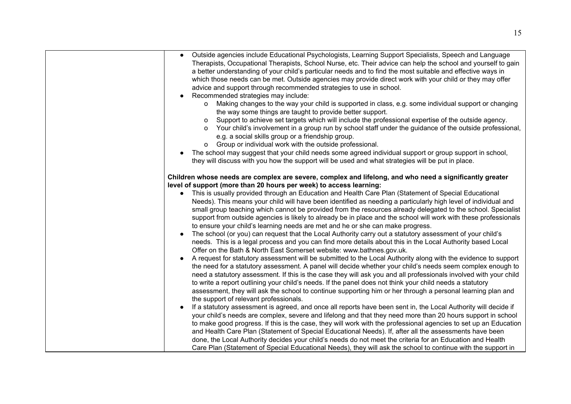| • Outside agencies include Educational Psychologists, Learning Support Specialists, Speech and Language<br>Therapists, Occupational Therapists, School Nurse, etc. Their advice can help the school and yourself to gain<br>a better understanding of your child's particular needs and to find the most suitable and effective ways in<br>which those needs can be met. Outside agencies may provide direct work with your child or they may offer<br>advice and support through recommended strategies to use in school.<br>Recommended strategies may include:<br>Making changes to the way your child is supported in class, e.g. some individual support or changing<br>$\mathsf{o}$<br>the way some things are taught to provide better support.<br>Support to achieve set targets which will include the professional expertise of the outside agency.<br>$\circ$<br>o Your child's involvement in a group run by school staff under the guidance of the outside professional,<br>e.g. a social skills group or a friendship group.<br>o Group or individual work with the outside professional.<br>The school may suggest that your child needs some agreed individual support or group support in school,<br>they will discuss with you how the support will be used and what strategies will be put in place.<br>Children whose needs are complex are severe, complex and lifelong, and who need a significantly greater<br>level of support (more than 20 hours per week) to access learning:<br>• This is usually provided through an Education and Health Care Plan (Statement of Special Educational<br>Needs). This means your child will have been identified as needing a particularly high level of individual and<br>small group teaching which cannot be provided from the resources already delegated to the school. Specialist<br>support from outside agencies is likely to already be in place and the school will work with these professionals<br>to ensure your child's learning needs are met and he or she can make progress.<br>The school (or you) can request that the Local Authority carry out a statutory assessment of your child's<br>needs. This is a legal process and you can find more details about this in the Local Authority based Local<br>Offer on the Bath & North East Somerset website: www.bathnes.gov.uk.<br>A request for statutory assessment will be submitted to the Local Authority along with the evidence to support<br>the need for a statutory assessment. A panel will decide whether your child's needs seem complex enough to<br>need a statutory assessment. If this is the case they will ask you and all professionals involved with your child<br>to write a report outlining your child's needs. If the panel does not think your child needs a statutory<br>assessment, they will ask the school to continue supporting him or her through a personal learning plan and<br>the support of relevant professionals.<br>If a statutory assessment is agreed, and once all reports have been sent in, the Local Authority will decide if<br>your child's needs are complex, severe and lifelong and that they need more than 20 hours support in school |                                                                                                                  |
|---------------------------------------------------------------------------------------------------------------------------------------------------------------------------------------------------------------------------------------------------------------------------------------------------------------------------------------------------------------------------------------------------------------------------------------------------------------------------------------------------------------------------------------------------------------------------------------------------------------------------------------------------------------------------------------------------------------------------------------------------------------------------------------------------------------------------------------------------------------------------------------------------------------------------------------------------------------------------------------------------------------------------------------------------------------------------------------------------------------------------------------------------------------------------------------------------------------------------------------------------------------------------------------------------------------------------------------------------------------------------------------------------------------------------------------------------------------------------------------------------------------------------------------------------------------------------------------------------------------------------------------------------------------------------------------------------------------------------------------------------------------------------------------------------------------------------------------------------------------------------------------------------------------------------------------------------------------------------------------------------------------------------------------------------------------------------------------------------------------------------------------------------------------------------------------------------------------------------------------------------------------------------------------------------------------------------------------------------------------------------------------------------------------------------------------------------------------------------------------------------------------------------------------------------------------------------------------------------------------------------------------------------------------------------------------------------------------------------------------------------------------------------------------------------------------------------------------------------------------------------------------------------------------------------------------------------------------------------------------------------------------------------------------------------------------------------------------------------------------------------------------------------------------------------------------------------------------------------|------------------------------------------------------------------------------------------------------------------|
|                                                                                                                                                                                                                                                                                                                                                                                                                                                                                                                                                                                                                                                                                                                                                                                                                                                                                                                                                                                                                                                                                                                                                                                                                                                                                                                                                                                                                                                                                                                                                                                                                                                                                                                                                                                                                                                                                                                                                                                                                                                                                                                                                                                                                                                                                                                                                                                                                                                                                                                                                                                                                                                                                                                                                                                                                                                                                                                                                                                                                                                                                                                                                                                                                           |                                                                                                                  |
| and Health Care Plan (Statement of Special Educational Needs). If, after all the assessments have been                                                                                                                                                                                                                                                                                                                                                                                                                                                                                                                                                                                                                                                                                                                                                                                                                                                                                                                                                                                                                                                                                                                                                                                                                                                                                                                                                                                                                                                                                                                                                                                                                                                                                                                                                                                                                                                                                                                                                                                                                                                                                                                                                                                                                                                                                                                                                                                                                                                                                                                                                                                                                                                                                                                                                                                                                                                                                                                                                                                                                                                                                                                    | to make good progress. If this is the case, they will work with the professional agencies to set up an Education |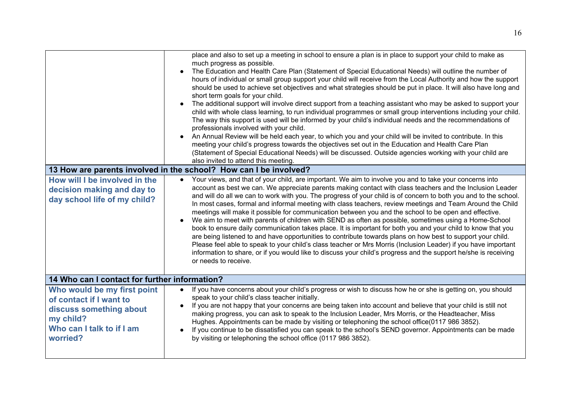| How will I be involved in the<br>decision making and day to<br>day school life of my child?                                             | place and also to set up a meeting in school to ensure a plan is in place to support your child to make as<br>much progress as possible.<br>The Education and Health Care Plan (Statement of Special Educational Needs) will outline the number of<br>hours of individual or small group support your child will receive from the Local Authority and how the support<br>should be used to achieve set objectives and what strategies should be put in place. It will also have long and<br>short term goals for your child.<br>The additional support will involve direct support from a teaching assistant who may be asked to support your<br>child with whole class learning, to run individual programmes or small group interventions including your child.<br>The way this support is used will be informed by your child's individual needs and the recommendations of<br>professionals involved with your child.<br>An Annual Review will be held each year, to which you and your child will be invited to contribute. In this<br>meeting your child's progress towards the objectives set out in the Education and Health Care Plan<br>(Statement of Special Educational Needs) will be discussed. Outside agencies working with your child are<br>also invited to attend this meeting.<br>13 How are parents involved in the school? How can I be involved?<br>• Your views, and that of your child, are important. We aim to involve you and to take your concerns into<br>account as best we can. We appreciate parents making contact with class teachers and the Inclusion Leader<br>and will do all we can to work with you. The progress of your child is of concern to both you and to the school.<br>In most cases, formal and informal meeting with class teachers, review meetings and Team Around the Child<br>meetings will make it possible for communication between you and the school to be open and effective.<br>We aim to meet with parents of children with SEND as often as possible, sometimes using a Home-School<br>book to ensure daily communication takes place. It is important for both you and your child to know that you<br>are being listened to and have opportunities to contribute towards plans on how best to support your child.<br>Please feel able to speak to your child's class teacher or Mrs Morris (Inclusion Leader) if you have important<br>information to share, or if you would like to discuss your child's progress and the support he/she is receiving<br>or needs to receive. |  |
|-----------------------------------------------------------------------------------------------------------------------------------------|--------------------------------------------------------------------------------------------------------------------------------------------------------------------------------------------------------------------------------------------------------------------------------------------------------------------------------------------------------------------------------------------------------------------------------------------------------------------------------------------------------------------------------------------------------------------------------------------------------------------------------------------------------------------------------------------------------------------------------------------------------------------------------------------------------------------------------------------------------------------------------------------------------------------------------------------------------------------------------------------------------------------------------------------------------------------------------------------------------------------------------------------------------------------------------------------------------------------------------------------------------------------------------------------------------------------------------------------------------------------------------------------------------------------------------------------------------------------------------------------------------------------------------------------------------------------------------------------------------------------------------------------------------------------------------------------------------------------------------------------------------------------------------------------------------------------------------------------------------------------------------------------------------------------------------------------------------------------------------------------------------------------------------------------------------------------------------------------------------------------------------------------------------------------------------------------------------------------------------------------------------------------------------------------------------------------------------------------------------------------------------------------------------------------------------------------------------------------------------------------------------------------------------------------------|--|
|                                                                                                                                         |                                                                                                                                                                                                                                                                                                                                                                                                                                                                                                                                                                                                                                                                                                                                                                                                                                                                                                                                                                                                                                                                                                                                                                                                                                                                                                                                                                                                                                                                                                                                                                                                                                                                                                                                                                                                                                                                                                                                                                                                                                                                                                                                                                                                                                                                                                                                                                                                                                                                                                                                                  |  |
| 14 Who can I contact for further information?                                                                                           |                                                                                                                                                                                                                                                                                                                                                                                                                                                                                                                                                                                                                                                                                                                                                                                                                                                                                                                                                                                                                                                                                                                                                                                                                                                                                                                                                                                                                                                                                                                                                                                                                                                                                                                                                                                                                                                                                                                                                                                                                                                                                                                                                                                                                                                                                                                                                                                                                                                                                                                                                  |  |
| Who would be my first point<br>of contact if I want to<br>discuss something about<br>my child?<br>Who can I talk to if I am<br>worried? | If you have concerns about your child's progress or wish to discuss how he or she is getting on, you should<br>$\bullet$<br>speak to your child's class teacher initially.<br>If you are not happy that your concerns are being taken into account and believe that your child is still not<br>$\bullet$<br>making progress, you can ask to speak to the Inclusion Leader, Mrs Morris, or the Headteacher, Miss<br>Hughes. Appointments can be made by visiting or telephoning the school office(0117 986 3852).<br>If you continue to be dissatisfied you can speak to the school's SEND governor. Appointments can be made<br>by visiting or telephoning the school office (0117 986 3852).                                                                                                                                                                                                                                                                                                                                                                                                                                                                                                                                                                                                                                                                                                                                                                                                                                                                                                                                                                                                                                                                                                                                                                                                                                                                                                                                                                                                                                                                                                                                                                                                                                                                                                                                                                                                                                                    |  |